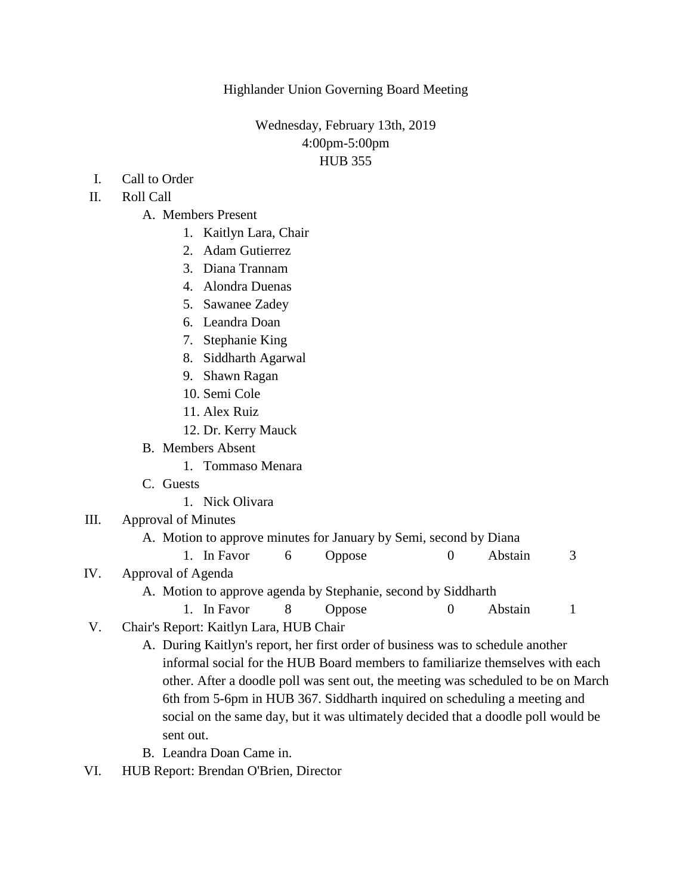Highlander Union Governing Board Meeting

Wednesday, February 13th, 2019 4:00pm-5:00pm HUB 355

- I. Call to Order
- II. Roll Call
	- A. Members Present
		- 1. Kaitlyn Lara, Chair
		- 2. Adam Gutierrez
		- 3. Diana Trannam
		- 4. Alondra Duenas
		- 5. Sawanee Zadey
		- 6. Leandra Doan
		- 7. Stephanie King
		- 8. Siddharth Agarwal
		- 9. Shawn Ragan
		- 10. Semi Cole
		- 11. Alex Ruiz
		- 12. Dr. Kerry Mauck
	- B. Members Absent
		- 1. Tommaso Menara
	- C. Guests
		- 1. Nick Olivara
- III. Approval of Minutes
	- A. Motion to approve minutes for January by Semi, second by Diana
	- 1. In Favor 6 Oppose 0 Abstain 3
- IV. Approval of Agenda
	- A. Motion to approve agenda by Stephanie, second by Siddharth
		- 1. In Favor 8 Oppose 0 Abstain 1
- V. Chair's Report: Kaitlyn Lara, HUB Chair
	- A. During Kaitlyn's report, her first order of business was to schedule another informal social for the HUB Board members to familiarize themselves with each other. After a doodle poll was sent out, the meeting was scheduled to be on March 6th from 5-6pm in HUB 367. Siddharth inquired on scheduling a meeting and social on the same day, but it was ultimately decided that a doodle poll would be sent out.
	- B. Leandra Doan Came in.
- VI. HUB Report: Brendan O'Brien, Director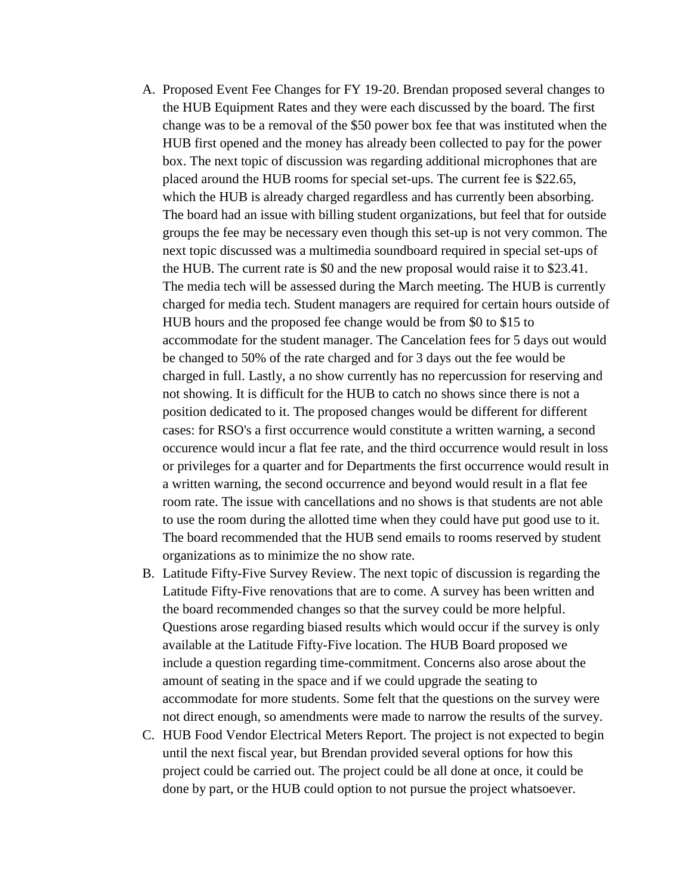- A. Proposed Event Fee Changes for FY 19-20. Brendan proposed several changes to the HUB Equipment Rates and they were each discussed by the board. The first change was to be a removal of the \$50 power box fee that was instituted when the HUB first opened and the money has already been collected to pay for the power box. The next topic of discussion was regarding additional microphones that are placed around the HUB rooms for special set-ups. The current fee is \$22.65, which the HUB is already charged regardless and has currently been absorbing. The board had an issue with billing student organizations, but feel that for outside groups the fee may be necessary even though this set-up is not very common. The next topic discussed was a multimedia soundboard required in special set-ups of the HUB. The current rate is \$0 and the new proposal would raise it to \$23.41. The media tech will be assessed during the March meeting. The HUB is currently charged for media tech. Student managers are required for certain hours outside of HUB hours and the proposed fee change would be from \$0 to \$15 to accommodate for the student manager. The Cancelation fees for 5 days out would be changed to 50% of the rate charged and for 3 days out the fee would be charged in full. Lastly, a no show currently has no repercussion for reserving and not showing. It is difficult for the HUB to catch no shows since there is not a position dedicated to it. The proposed changes would be different for different cases: for RSO's a first occurrence would constitute a written warning, a second occurence would incur a flat fee rate, and the third occurrence would result in loss or privileges for a quarter and for Departments the first occurrence would result in a written warning, the second occurrence and beyond would result in a flat fee room rate. The issue with cancellations and no shows is that students are not able to use the room during the allotted time when they could have put good use to it. The board recommended that the HUB send emails to rooms reserved by student organizations as to minimize the no show rate.
- B. Latitude Fifty-Five Survey Review. The next topic of discussion is regarding the Latitude Fifty-Five renovations that are to come. A survey has been written and the board recommended changes so that the survey could be more helpful. Questions arose regarding biased results which would occur if the survey is only available at the Latitude Fifty-Five location. The HUB Board proposed we include a question regarding time-commitment. Concerns also arose about the amount of seating in the space and if we could upgrade the seating to accommodate for more students. Some felt that the questions on the survey were not direct enough, so amendments were made to narrow the results of the survey.
- C. HUB Food Vendor Electrical Meters Report. The project is not expected to begin until the next fiscal year, but Brendan provided several options for how this project could be carried out. The project could be all done at once, it could be done by part, or the HUB could option to not pursue the project whatsoever.